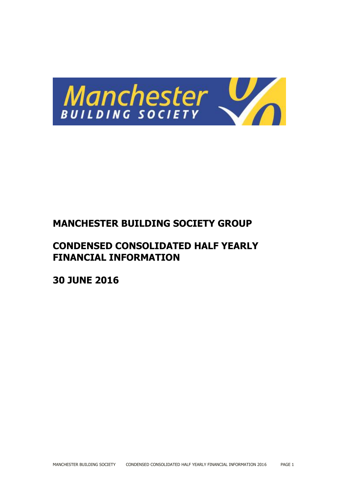

# **MANCHESTER BUILDING SOCIETY GROUP**

# **CONDENSED CONSOLIDATED HALF YEARLY FINANCIAL INFORMATION**

**30 JUNE 2016**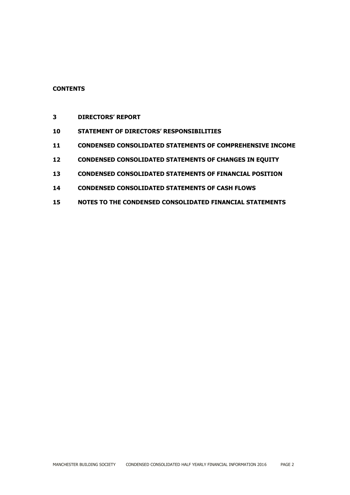# **CONTENTS**

- **DIRECTORS' REPORT**
- **STATEMENT OF DIRECTORS' RESPONSIBILITIES**
- **CONDENSED CONSOLIDATED STATEMENTS OF COMPREHENSIVE INCOME**
- **CONDENSED CONSOLIDATED STATEMENTS OF CHANGES IN EQUITY**
- **CONDENSED CONSOLIDATED STATEMENTS OF FINANCIAL POSITION**
- **CONDENSED CONSOLIDATED STATEMENTS OF CASH FLOWS**
- **NOTES TO THE CONDENSED CONSOLIDATED FINANCIAL STATEMENTS**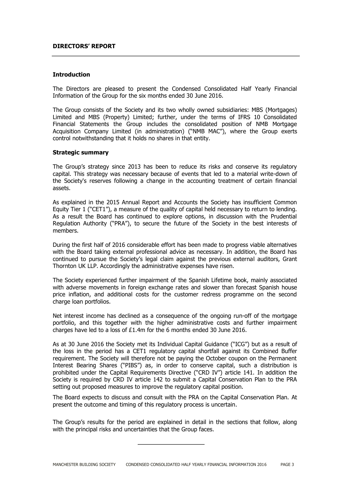#### **DIRECTORS' REPORT**

#### **Introduction**

The Directors are pleased to present the Condensed Consolidated Half Yearly Financial Information of the Group for the six months ended 30 June 2016.

The Group consists of the Society and its two wholly owned subsidiaries: MBS (Mortgages) Limited and MBS (Property) Limited; further, under the terms of IFRS 10 Consolidated Financial Statements the Group includes the consolidated position of NMB Mortgage Acquisition Company Limited (in administration) ("NMB MAC"), where the Group exerts control notwithstanding that it holds no shares in that entity.

#### **Strategic summary**

The Group's strategy since 2013 has been to reduce its risks and conserve its regulatory capital. This strategy was necessary because of events that led to a material write-down of the Society's reserves following a change in the accounting treatment of certain financial assets.

As explained in the 2015 Annual Report and Accounts the Society has insufficient Common Equity Tier 1 ("CET1"), a measure of the quality of capital held necessary to return to lending. As a result the Board has continued to explore options, in discussion with the Prudential Regulation Authority ("PRA"), to secure the future of the Society in the best interests of members.

During the first half of 2016 considerable effort has been made to progress viable alternatives with the Board taking external professional advice as necessary. In addition, the Board has continued to pursue the Society's legal claim against the previous external auditors, Grant Thornton UK LLP. Accordingly the administrative expenses have risen.

The Society experienced further impairment of the Spanish Lifetime book, mainly associated with adverse movements in foreign exchange rates and slower than forecast Spanish house price inflation, and additional costs for the customer redress programme on the second charge loan portfolios.

Net interest income has declined as a consequence of the ongoing run-off of the mortgage portfolio, and this together with the higher administrative costs and further impairment charges have led to a loss of £1.4m for the 6 months ended 30 June 2016.

As at 30 June 2016 the Society met its Individual Capital Guidance ("ICG") but as a result of the loss in the period has a CET1 regulatory capital shortfall against its Combined Buffer requirement. The Society will therefore not be paying the October coupon on the Permanent Interest Bearing Shares ("PIBS") as, in order to conserve capital, such a distribution is prohibited under the Capital Requirements Directive ("CRD IV") article 141. In addition the Society is required by CRD IV article 142 to submit a Capital Conservation Plan to the PRA setting out proposed measures to improve the regulatory capital position.

The Board expects to discuss and consult with the PRA on the Capital Conservation Plan. At present the outcome and timing of this regulatory process is uncertain.

The Group's results for the period are explained in detail in the sections that follow, along with the principal risks and uncertainties that the Group faces.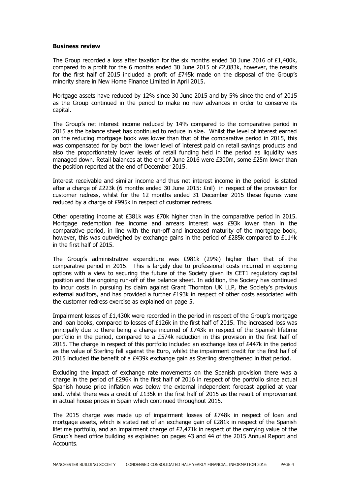#### **Business review**

The Group recorded a loss after taxation for the six months ended 30 June 2016 of £1,400k, compared to a profit for the 6 months ended 30 June 2015 of £2,083k, however, the results for the first half of 2015 included a profit of £745k made on the disposal of the Group's minority share in New Home Finance Limited in April 2015.

Mortgage assets have reduced by 12% since 30 June 2015 and by 5% since the end of 2015 as the Group continued in the period to make no new advances in order to conserve its capital.

The Group's net interest income reduced by 14% compared to the comparative period in 2015 as the balance sheet has continued to reduce in size. Whilst the level of interest earned on the reducing mortgage book was lower than that of the comparative period in 2015, this was compensated for by both the lower level of interest paid on retail savings products and also the proportionately lower levels of retail funding held in the period as liquidity was managed down. Retail balances at the end of June 2016 were £300m, some £25m lower than the position reported at the end of December 2015.

Interest receivable and similar income and thus net interest income in the period is stated after a charge of £223k (6 months ended 30 June 2015: £nil) in respect of the provision for customer redress, whilst for the 12 months ended 31 December 2015 these figures were reduced by a charge of £995k in respect of customer redress.

Other operating income at £381k was £70k higher than in the comparative period in 2015. Mortgage redemption fee income and arrears interest was £93k lower than in the comparative period, in line with the run-off and increased maturity of the mortgage book, however, this was outweighed by exchange gains in the period of £285k compared to £114k in the first half of 2015.

The Group's administrative expenditure was £981k (29%) higher than that of the comparative period in 2015. This is largely due to professional costs incurred in exploring options with a view to securing the future of the Society given its CET1 regulatory capital position and the ongoing run-off of the balance sheet. In addition, the Society has continued to incur costs in pursuing its claim against Grant Thornton UK LLP, the Society's previous external auditors, and has provided a further £193k in respect of other costs associated with the customer redress exercise as explained on page 5.

Impairment losses of £1,430k were recorded in the period in respect of the Group's mortgage and loan books, compared to losses of £126k in the first half of 2015. The increased loss was principally due to there being a charge incurred of  $E743k$  in respect of the Spanish lifetime portfolio in the period, compared to a £574k reduction in this provision in the first half of 2015. The charge in respect of this portfolio included an exchange loss of £447k in the period as the value of Sterling fell against the Euro, whilst the impairment credit for the first half of 2015 included the benefit of a £439k exchange gain as Sterling strengthened in that period.

Excluding the impact of exchange rate movements on the Spanish provision there was a charge in the period of £296k in the first half of 2016 in respect of the portfolio since actual Spanish house price inflation was below the external independent forecast applied at year end, whilst there was a credit of £135k in the first half of 2015 as the result of improvement in actual house prices in Spain which continued throughout 2015.

The 2015 charge was made up of impairment losses of £748k in respect of loan and mortgage assets, which is stated net of an exchange gain of £281k in respect of the Spanish lifetime portfolio, and an impairment charge of £2,471k in respect of the carrying value of the Group's head office building as explained on pages 43 and 44 of the 2015 Annual Report and Accounts.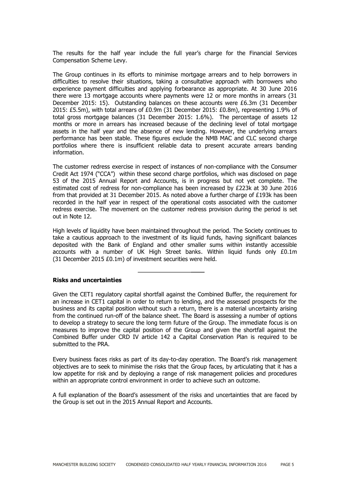The results for the half year include the full year's charge for the Financial Services Compensation Scheme Levy.

The Group continues in its efforts to minimise mortgage arrears and to help borrowers in difficulties to resolve their situations, taking a consultative approach with borrowers who experience payment difficulties and applying forbearance as appropriate. At 30 June 2016 there were 13 mortgage accounts where payments were 12 or more months in arrears (31 December 2015: 15). Outstanding balances on these accounts were £6.3m (31 December 2015: £5.5m), with total arrears of £0.9m (31 December 2015: £0.8m), representing 1.9% of total gross mortgage balances (31 December 2015: 1.6%). The percentage of assets 12 months or more in arrears has increased because of the declining level of total mortgage assets in the half year and the absence of new lending. However, the underlying arrears performance has been stable. These figures exclude the NMB MAC and CLC second charge portfolios where there is insufficient reliable data to present accurate arrears banding information.

The customer redress exercise in respect of instances of non-compliance with the Consumer Credit Act 1974 ("CCA") within these second charge portfolios, which was disclosed on page 53 of the 2015 Annual Report and Accounts, is in progress but not yet complete. The estimated cost of redress for non-compliance has been increased by £223k at 30 June 2016 from that provided at 31 December 2015. As noted above a further charge of £193k has been recorded in the half year in respect of the operational costs associated with the customer redress exercise. The movement on the customer redress provision during the period is set out in Note 12.

High levels of liquidity have been maintained throughout the period. The Society continues to take a cautious approach to the investment of its liquid funds, having significant balances deposited with the Bank of England and other smaller sums within instantly accessible accounts with a number of UK High Street banks. Within liquid funds only £0.1m (31 December 2015 £0.1m) of investment securities were held.

#### **Risks and uncertainties**

Given the CET1 regulatory capital shortfall against the Combined Buffer, the requirement for an increase in CET1 capital in order to return to lending, and the assessed prospects for the business and its capital position without such a return, there is a material uncertainty arising from the continued run-off of the balance sheet. The Board is assessing a number of options to develop a strategy to secure the long term future of the Group. The immediate focus is on measures to improve the capital position of the Group and given the shortfall against the Combined Buffer under CRD IV article 142 a Capital Conservation Plan is required to be submitted to the PRA.

Every business faces risks as part of its day-to-day operation. The Board's risk management objectives are to seek to minimise the risks that the Group faces, by articulating that it has a low appetite for risk and by deploying a range of risk management policies and procedures within an appropriate control environment in order to achieve such an outcome.

A full explanation of the Board's assessment of the risks and uncertainties that are faced by the Group is set out in the 2015 Annual Report and Accounts.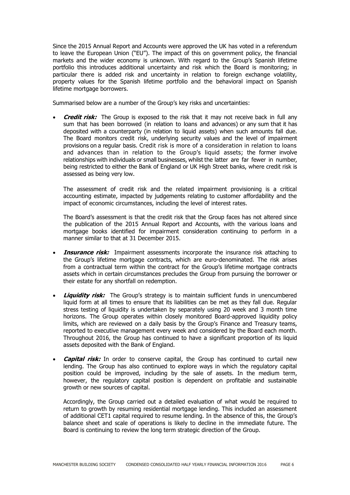Since the 2015 Annual Report and Accounts were approved the UK has voted in a referendum to leave the European Union ("EU"). The impact of this on government policy, the financial markets and the wider economy is unknown. With regard to the Group's Spanish lifetime portfolio this introduces additional uncertainty and risk which the Board is monitoring; in particular there is added risk and uncertainty in relation to foreign exchange volatility, property values for the Spanish lifetime portfolio and the behavioral impact on Spanish lifetime mortgage borrowers.

Summarised below are a number of the Group's key risks and uncertainties:

 **Credit risk:** The Group is exposed to the risk that it may not receive back in full any sum that has been borrowed (in relation to loans and advances) or any sum that it has deposited with a counterparty (in relation to liquid assets) when such amounts fall due. The Board monitors credit risk, underlying security values and the level of impairment provisions on a regular basis. Credit risk is more of a consideration in relation to loans and advances than in relation to the Group's liquid assets; the former involve relationships with individuals or small businesses, whilst the latter are far fewer in number, being restricted to either the Bank of England or UK High Street banks, where credit risk is assessed as being very low.

The assessment of credit risk and the related impairment provisioning is a critical accounting estimate, impacted by judgements relating to customer affordability and the impact of economic circumstances, including the level of interest rates.

The Board's assessment is that the credit risk that the Group faces has not altered since the publication of the 2015 Annual Report and Accounts, with the various loans and mortgage books identified for impairment consideration continuing to perform in a manner similar to that at 31 December 2015.

- **Insurance risk:** Impairment assessments incorporate the insurance risk attaching to the Group's lifetime mortgage contracts, which are euro-denominated. The risk arises from a contractual term within the contract for the Group's lifetime mortgage contracts assets which in certain circumstances precludes the Group from pursuing the borrower or their estate for any shortfall on redemption.
- **Liquidity risk:** The Group's strategy is to maintain sufficient funds in unencumbered liquid form at all times to ensure that its liabilities can be met as they fall due. Regular stress testing of liquidity is undertaken by separately using 20 week and 3 month time horizons. The Group operates within closely monitored Board-approved liquidity policy limits, which are reviewed on a daily basis by the Group's Finance and Treasury teams, reported to executive management every week and considered by the Board each month. Throughout 2016, the Group has continued to have a significant proportion of its liquid assets deposited with the Bank of England.
- **Capital risk:** In order to conserve capital, the Group has continued to curtail new lending. The Group has also continued to explore ways in which the regulatory capital position could be improved, including by the sale of assets. In the medium term, however, the regulatory capital position is dependent on profitable and sustainable growth or new sources of capital.

Accordingly, the Group carried out a detailed evaluation of what would be required to return to growth by resuming residential mortgage lending. This included an assessment of additional CET1 capital required to resume lending. In the absence of this, the Group's balance sheet and scale of operations is likely to decline in the immediate future. The Board is continuing to review the long term strategic direction of the Group.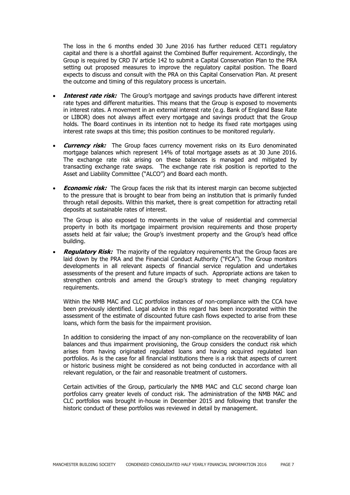The loss in the 6 months ended 30 June 2016 has further reduced CET1 regulatory capital and there is a shortfall against the Combined Buffer requirement. Accordingly, the Group is required by CRD IV article 142 to submit a Capital Conservation Plan to the PRA setting out proposed measures to improve the regulatory capital position. The Board expects to discuss and consult with the PRA on this Capital Conservation Plan. At present the outcome and timing of this regulatory process is uncertain.

- **Interest rate risk:** The Group's mortgage and savings products have different interest rate types and different maturities. This means that the Group is exposed to movements in interest rates. A movement in an external interest rate (e.g. Bank of England Base Rate or LIBOR) does not always affect every mortgage and savings product that the Group holds. The Board continues in its intention not to hedge its fixed rate mortgages using interest rate swaps at this time; this position continues to be monitored regularly.
- **Currency risk:** The Group faces currency movement risks on its Euro denominated mortgage balances which represent 14% of total mortgage assets as at 30 June 2016. The exchange rate risk arising on these balances is managed and mitigated by transacting exchange rate swaps. The exchange rate risk position is reported to the Asset and Liability Committee ("ALCO") and Board each month.
- **Economic risk:** The Group faces the risk that its interest margin can become subjected to the pressure that is brought to bear from being an institution that is primarily funded through retail deposits. Within this market, there is great competition for attracting retail deposits at sustainable rates of interest.

The Group is also exposed to movements in the value of residential and commercial property in both its mortgage impairment provision requirements and those property assets held at fair value; the Group's investment property and the Group's head office building.

**Regulatory Risk:** The majority of the regulatory requirements that the Group faces are laid down by the PRA and the Financial Conduct Authority ("FCA"). The Group monitors developments in all relevant aspects of financial service regulation and undertakes assessments of the present and future impacts of such. Appropriate actions are taken to strengthen controls and amend the Group's strategy to meet changing regulatory requirements.

Within the NMB MAC and CLC portfolios instances of non-compliance with the CCA have been previously identified. Legal advice in this regard has been incorporated within the assessment of the estimate of discounted future cash flows expected to arise from these loans, which form the basis for the impairment provision.

In addition to considering the impact of any non-compliance on the recoverability of loan balances and thus impairment provisioning, the Group considers the conduct risk which arises from having originated regulated loans and having acquired regulated loan portfolios. As is the case for all financial institutions there is a risk that aspects of current or historic business might be considered as not being conducted in accordance with all relevant regulation, or the fair and reasonable treatment of customers.

Certain activities of the Group, particularly the NMB MAC and CLC second charge loan portfolios carry greater levels of conduct risk. The administration of the NMB MAC and CLC portfolios was brought in-house in December 2015 and following that transfer the historic conduct of these portfolios was reviewed in detail by management.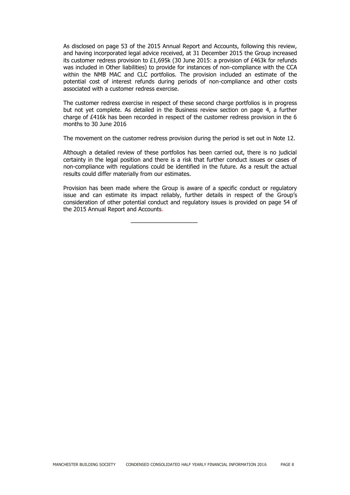As disclosed on page 53 of the 2015 Annual Report and Accounts, following this review, and having incorporated legal advice received, at 31 December 2015 the Group increased its customer redress provision to £1,695k (30 June 2015: a provision of £463k for refunds was included in Other liabilities) to provide for instances of non-compliance with the CCA within the NMB MAC and CLC portfolios. The provision included an estimate of the potential cost of interest refunds during periods of non-compliance and other costs associated with a customer redress exercise.

The customer redress exercise in respect of these second charge portfolios is in progress but not yet complete. As detailed in the Business review section on page 4, a further charge of £416k has been recorded in respect of the customer redress provision in the 6 months to 30 June 2016

The movement on the customer redress provision during the period is set out in Note 12.

Although a detailed review of these portfolios has been carried out, there is no judicial certainty in the legal position and there is a risk that further conduct issues or cases of non-compliance with regulations could be identified in the future. As a result the actual results could differ materially from our estimates.

Provision has been made where the Group is aware of a specific conduct or regulatory issue and can estimate its impact reliably, further details in respect of the Group's consideration of other potential conduct and regulatory issues is provided on page 54 of the 2015 Annual Report and Accounts.

MANCHESTER BUILDING SOCIETY CONDENSED CONSOLIDATED HALF YEARLY FINANCIAL INFORMATION 2016 PAGE 8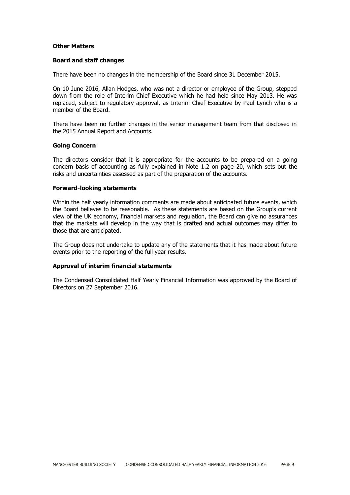#### **Other Matters**

#### **Board and staff changes**

There have been no changes in the membership of the Board since 31 December 2015.

On 10 June 2016, Allan Hodges, who was not a director or employee of the Group, stepped down from the role of Interim Chief Executive which he had held since May 2013. He was replaced, subject to regulatory approval, as Interim Chief Executive by Paul Lynch who is a member of the Board.

There have been no further changes in the senior management team from that disclosed in the 2015 Annual Report and Accounts.

#### **Going Concern**

The directors consider that it is appropriate for the accounts to be prepared on a going concern basis of accounting as fully explained in Note 1.2 on page 20, which sets out the risks and uncertainties assessed as part of the preparation of the accounts.

#### **Forward-looking statements**

Within the half yearly information comments are made about anticipated future events, which the Board believes to be reasonable. As these statements are based on the Group's current view of the UK economy, financial markets and regulation, the Board can give no assurances that the markets will develop in the way that is drafted and actual outcomes may differ to those that are anticipated.

The Group does not undertake to update any of the statements that it has made about future events prior to the reporting of the full year results.

#### **Approval of interim financial statements**

The Condensed Consolidated Half Yearly Financial Information was approved by the Board of Directors on 27 September 2016.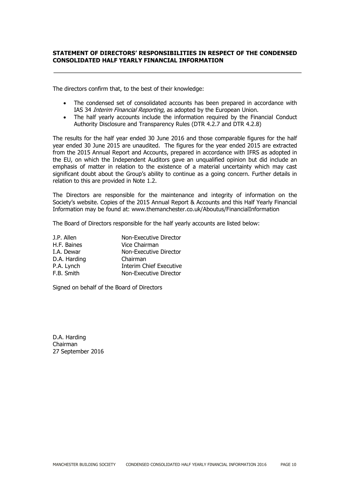# **STATEMENT OF DIRECTORS' RESPONSIBILITIES IN RESPECT OF THE CONDENSED CONSOLIDATED HALF YEARLY FINANCIAL INFORMATION**

The directors confirm that, to the best of their knowledge:

- The condensed set of consolidated accounts has been prepared in accordance with IAS 34 Interim Financial Reporting, as adopted by the European Union.
- The half yearly accounts include the information required by the Financial Conduct Authority Disclosure and Transparency Rules (DTR 4.2.7 and DTR 4.2.8)

The results for the half year ended 30 June 2016 and those comparable figures for the half year ended 30 June 2015 are unaudited. The figures for the year ended 2015 are extracted from the 2015 Annual Report and Accounts, prepared in accordance with IFRS as adopted in the EU, on which the Independent Auditors gave an unqualified opinion but did include an emphasis of matter in relation to the existence of a material uncertainty which may cast significant doubt about the Group's ability to continue as a going concern. Further details in relation to this are provided in Note 1.2.

The Directors are responsible for the maintenance and integrity of information on the Society's website. Copies of the 2015 Annual Report & Accounts and this Half Yearly Financial Information may be found at: www.themanchester.co.uk/Aboutus/FinancialInformation

The Board of Directors responsible for the half yearly accounts are listed below:

| J.P. Allen   | Non-Executive Director         |
|--------------|--------------------------------|
| H.F. Baines  | Vice Chairman                  |
| I.A. Dewar   | Non-Executive Director         |
| D.A. Harding | Chairman                       |
| P.A. Lynch   | <b>Interim Chief Executive</b> |
| F.B. Smith   | Non-Executive Director         |

Signed on behalf of the Board of Directors

D.A. Harding Chairman 27 September 2016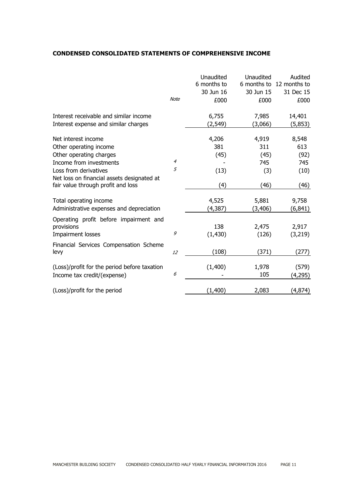# **CONDENSED CONSOLIDATED STATEMENTS OF COMPREHENSIVE INCOME**

|                                                                                                                                                                                                                                                                                        | <b>Note</b>         | Unaudited<br>6 months to<br>30 Jun 16<br>£000           | Unaudited<br>6 months to<br>30 Jun 15<br>£000                   | Audited<br>12 months to<br>31 Dec 15<br>£000                     |
|----------------------------------------------------------------------------------------------------------------------------------------------------------------------------------------------------------------------------------------------------------------------------------------|---------------------|---------------------------------------------------------|-----------------------------------------------------------------|------------------------------------------------------------------|
| Interest receivable and similar income<br>Interest expense and similar charges                                                                                                                                                                                                         |                     | 6,755<br>(2, 549)                                       | 7,985<br>(3,066)                                                | 14,401<br>(5,853)                                                |
| Net interest income<br>Other operating income<br>Other operating charges<br>Income from investments<br>Loss from derivatives<br>Net loss on financial assets designated at<br>fair value through profit and loss<br>Total operating income<br>Administrative expenses and depreciation | $\overline{4}$<br>5 | 4,206<br>381<br>(45)<br>(13)<br>(4)<br>4,525<br>(4,387) | 4,919<br>311<br>(45)<br>745<br>(3)<br>(46)<br>5,881<br>(3, 406) | 8,548<br>613<br>(92)<br>745<br>(10)<br>(46)<br>9,758<br>(6, 841) |
| Operating profit before impairment and<br>provisions<br>Impairment losses                                                                                                                                                                                                              | 9                   | 138<br>(1, 430)                                         | 2,475<br>(126)                                                  | 2,917<br>(3,219)                                                 |
| Financial Services Compensation Scheme<br>levy                                                                                                                                                                                                                                         | 12                  | (108)                                                   | (371)                                                           | (277)                                                            |
| (Loss)/profit for the period before taxation<br>Income tax credit/(expense)                                                                                                                                                                                                            | 6                   | (1,400)                                                 | 1,978<br>105                                                    | (579)<br>(4,295)                                                 |
| (Loss)/profit for the period                                                                                                                                                                                                                                                           |                     | (1,400)                                                 | 2,083                                                           | (4, 874)                                                         |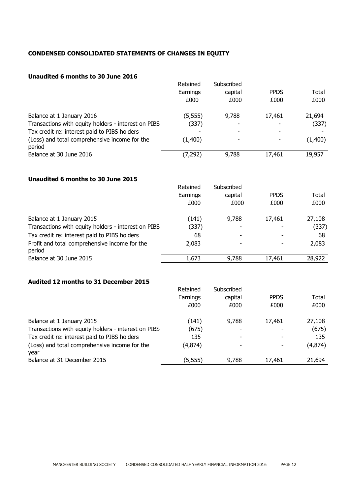# **CONDENSED CONSOLIDATED STATEMENTS OF CHANGES IN EQUITY**

# **Unaudited 6 months to 30 June 2016**

|                                                         | Retained | Subscribed |             |         |
|---------------------------------------------------------|----------|------------|-------------|---------|
|                                                         | Earnings | capital    | <b>PPDS</b> | Total   |
|                                                         | £000     | £000       | £000        | £000    |
| Balance at 1 January 2016                               | (5, 555) | 9,788      | 17,461      | 21,694  |
| Transactions with equity holders - interest on PIBS     | (337)    |            |             | (337)   |
| Tax credit re: interest paid to PIBS holders            |          |            |             |         |
| (Loss) and total comprehensive income for the<br>period | (1,400)  | ٠          |             | (1,400) |
| Balance at 30 June 2016                                 | (7, 292) | 9,788      | 17,461      | 19.957  |

# **Unaudited 6 months to 30 June 2015**

|                                                         | Retained | Subscribed |             |        |
|---------------------------------------------------------|----------|------------|-------------|--------|
|                                                         | Earnings | capital    | <b>PPDS</b> | Total  |
|                                                         | £000     | £000       | £000        | £000   |
| Balance at 1 January 2015                               | (141)    | 9,788      | 17,461      | 27,108 |
| Transactions with equity holders - interest on PIBS     | (337)    |            |             | (337)  |
| Tax credit re: interest paid to PIBS holders            | 68       |            |             | 68     |
| Profit and total comprehensive income for the<br>period | 2,083    |            | ٠           | 2,083  |
| Balance at 30 June 2015                                 | 1,673    | 9,788      | 17,461      | 28,922 |

# **Audited 12 months to 31 December 2015**

|                                                       | Retained | Subscribed |             |         |
|-------------------------------------------------------|----------|------------|-------------|---------|
|                                                       | Earnings | capital    | <b>PPDS</b> | Total   |
|                                                       | £000     | £000       | £000        | £000    |
| Balance at 1 January 2015                             | (141)    | 9,788      | 17,461      | 27,108  |
| Transactions with equity holders - interest on PIBS   | (675)    |            |             | (675)   |
| Tax credit re: interest paid to PIBS holders          | 135      |            |             | 135     |
| (Loss) and total comprehensive income for the<br>year | (4,874)  |            |             | (4,874) |
| Balance at 31 December 2015                           | (5,555)  | 9,788      | 17,461      | 21,694  |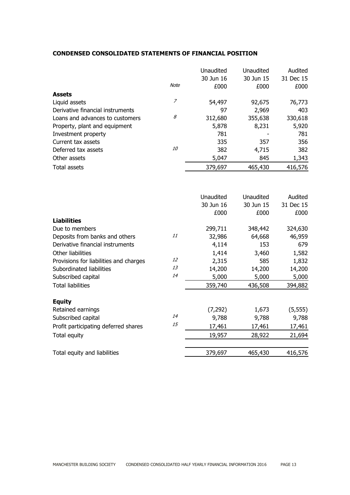# **CONDENSED CONSOLIDATED STATEMENTS OF FINANCIAL POSITION**

|                                        |           | Unaudited<br>30 Jun 16 | Unaudited<br>30 Jun 15 | Audited<br>31 Dec 15 |
|----------------------------------------|-----------|------------------------|------------------------|----------------------|
|                                        | Note      | £000                   | £000                   | £000                 |
| <b>Assets</b>                          |           |                        |                        |                      |
| Liquid assets                          | 7         | 54,497                 | 92,675                 | 76,773               |
| Derivative financial instruments       |           | 97                     | 2,969                  | 403                  |
| Loans and advances to customers        | 8         | 312,680                | 355,638                | 330,618              |
| Property, plant and equipment          |           | 5,878                  | 8,231                  | 5,920                |
| Investment property                    |           | 781                    |                        | 781                  |
| Current tax assets                     |           | 335                    | 357                    | 356                  |
| Deferred tax assets                    | <i>10</i> | 382                    | 4,715                  | 382                  |
| Other assets                           |           | 5,047                  | 845                    | 1,343                |
| <b>Total assets</b>                    |           | 379,697                | 465,430                | 416,576              |
|                                        |           |                        |                        |                      |
|                                        |           | Unaudited              | Unaudited              | Audited              |
|                                        |           | 30 Jun 16              | 30 Jun 15              | 31 Dec 15            |
|                                        |           | £000                   | £000                   | £000                 |
| <b>Liabilities</b>                     |           |                        |                        |                      |
| Due to members                         |           | 299,711                | 348,442                | 324,630              |
| Deposits from banks and others         | 11        | 32,986                 | 64,668                 | 46,959               |
| Derivative financial instruments       |           | 4,114                  | 153                    | 679                  |
| Other liabilities                      |           | 1,414                  | 3,460                  | 1,582                |
| Provisions for liabilities and charges | 12        | 2,315                  | 585                    | 1,832                |
| Subordinated liabilities               | 13        | 14,200                 | 14,200                 | 14,200               |
| Subscribed capital                     | 14        | 5,000                  | 5,000                  | 5,000                |
| <b>Total liabilities</b>               |           | 359,740                | 436,508                | 394,882              |
| <b>Equity</b>                          |           |                        |                        |                      |
| Retained earnings                      |           | (7, 292)               | 1,673                  | (5, 555)             |
| Subscribed capital                     | 14        | 9,788                  | 9,788                  | 9,788                |
| Profit participating deferred shares   | 15        | 17,461                 | 17,461                 | 17,461               |
| Total equity                           |           | 19,957                 | 28,922                 | 21,694               |
| Total equity and liabilities           |           | 379,697                | 465,430                | 416,576              |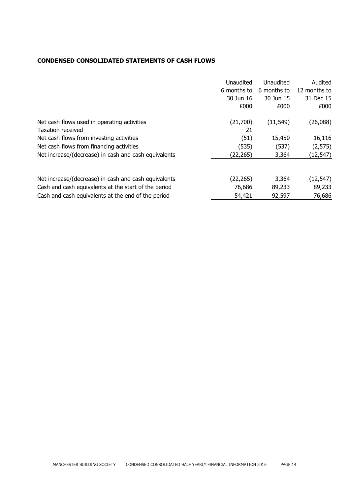# **CONDENSED CONSOLIDATED STATEMENTS OF CASH FLOWS**

|                                                      | Unaudited   | Unaudited   | Audited      |
|------------------------------------------------------|-------------|-------------|--------------|
|                                                      | 6 months to | 6 months to | 12 months to |
|                                                      | 30 Jun 16   | 30 Jun 15   | 31 Dec 15    |
|                                                      | £000        | £000        | £000         |
| Net cash flows used in operating activities          | (21,700)    | (11, 549)   | (26,088)     |
| <b>Taxation received</b>                             | 21          |             |              |
| Net cash flows from investing activities             | (51)        | 15,450      | 16,116       |
| Net cash flows from financing activities             | (535)       | (537)       | (2, 575)     |
| Net increase/(decrease) in cash and cash equivalents | (22, 265)   | 3,364       | (12, 547)    |
|                                                      |             |             |              |
| Net increase/(decrease) in cash and cash equivalents | (22, 265)   | 3,364       | (12, 547)    |
| Cash and cash equivalents at the start of the period | 76,686      | 89,233      | 89,233       |
| Cash and cash equivalents at the end of the period   | 54,421      | 92,597      | 76,686       |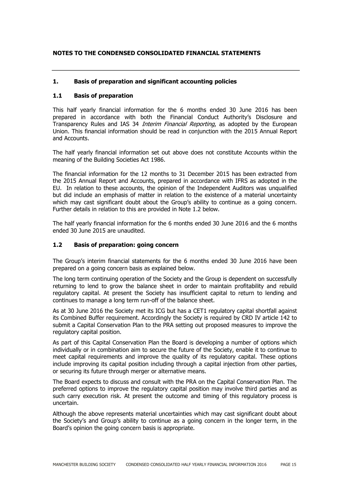# **NOTES TO THE CONDENSED CONSOLIDATED FINANCIAL STATEMENTS**

# **1. Basis of preparation and significant accounting policies**

# **1.1 Basis of preparation**

This half yearly financial information for the 6 months ended 30 June 2016 has been prepared in accordance with both the Financial Conduct Authority's Disclosure and Transparency Rules and IAS 34 Interim Financial Reporting, as adopted by the European Union. This financial information should be read in conjunction with the 2015 Annual Report and Accounts.

The half yearly financial information set out above does not constitute Accounts within the meaning of the Building Societies Act 1986.

The financial information for the 12 months to 31 December 2015 has been extracted from the 2015 Annual Report and Accounts, prepared in accordance with IFRS as adopted in the EU. In relation to these accounts, the opinion of the Independent Auditors was unqualified but did include an emphasis of matter in relation to the existence of a material uncertainty which may cast significant doubt about the Group's ability to continue as a going concern. Further details in relation to this are provided in Note 1.2 below.

The half yearly financial information for the 6 months ended 30 June 2016 and the 6 months ended 30 June 2015 are unaudited.

#### **1.2 Basis of preparation: going concern**

The Group's interim financial statements for the 6 months ended 30 June 2016 have been prepared on a going concern basis as explained below.

The long term continuing operation of the Society and the Group is dependent on successfully returning to lend to grow the balance sheet in order to maintain profitability and rebuild regulatory capital. At present the Society has insufficient capital to return to lending and continues to manage a long term run-off of the balance sheet.

As at 30 June 2016 the Society met its ICG but has a CET1 regulatory capital shortfall against its Combined Buffer requirement. Accordingly the Society is required by CRD IV article 142 to submit a Capital Conservation Plan to the PRA setting out proposed measures to improve the regulatory capital position.

As part of this Capital Conservation Plan the Board is developing a number of options which individually or in combination aim to secure the future of the Society, enable it to continue to meet capital requirements and improve the quality of its regulatory capital. These options include improving its capital position including through a capital injection from other parties, or securing its future through merger or alternative means.

The Board expects to discuss and consult with the PRA on the Capital Conservation Plan. The preferred options to improve the regulatory capital position may involve third parties and as such carry execution risk. At present the outcome and timing of this regulatory process is uncertain.

Although the above represents material uncertainties which may cast significant doubt about the Society's and Group's ability to continue as a going concern in the longer term, in the Board's opinion the going concern basis is appropriate.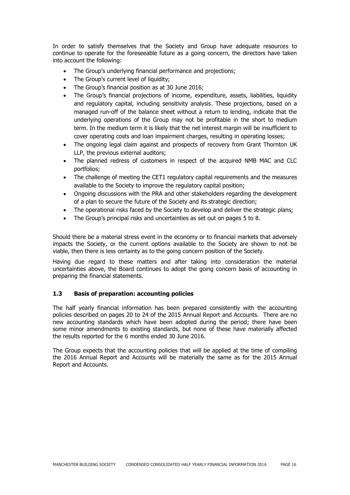In order to satisfy themselves that the Society and Group have adequate resources to continue to operate for the foreseeable future as a going concern, the directors have taken into account the following:

- The Group's underlying financial performance and projections;
- The Group's current level of liquidity;
- The Group's financial position as at 30 June 2016;
- The Group's financial projections of income, expenditure, assets, liabilities, liquidity and regulatory capital, including sensitivity analysis. These projections, based on a managed run-off of the balance sheet without a return to lending, indicate that the underlying operations of the Group may not be profitable in the short to medium term. In the medium term it is likely that the net interest margin will be insufficient to cover operating costs and loan impairment charges, resulting in operating losses;
- The ongoing legal claim against and prospects of recovery from Grant Thornton UK LLP, the previous external auditors;
- The planned redress of customers in respect of the acquired NMB MAC and CLC portfolios;
- The challenge of meeting the CET1 regulatory capital requirements and the measures available to the Society to improve the regulatory capital position;
- Ongoing discussions with the PRA and other stakeholders regarding the development of a plan to secure the future of the Society and its strategic direction;
- The operational risks faced by the Society to develop and deliver the strategic plans;
- The Group's principal risks and uncertainties as set out on pages 5 to 8.

Should there be a material stress event in the economy or to financial markets that adversely impacts the Society, or the current options available to the Society are shown to not be viable, then there is less certainty as to the going concern position of the Society.

Having due regard to these matters and after taking into consideration the material uncertainties above, the Board continues to adopt the going concern basis of accounting in preparing the financial statements.

# **1.3 Basis of preparation: accounting policies**

The half yearly financial information has been prepared consistently with the accounting policies described on pages 20 to 24 of the 2015 Annual Report and Accounts. There are no new accounting standards which have been adopted during the period; there have been some minor amendments to existing standards, but none of these have materially affected the results reported for the 6 months ended 30 June 2016.

The Group expects that the accounting policies that will be applied at the time of compiling the 2016 Annual Report and Accounts will be materially the same as for the 2015 Annual Report and Accounts.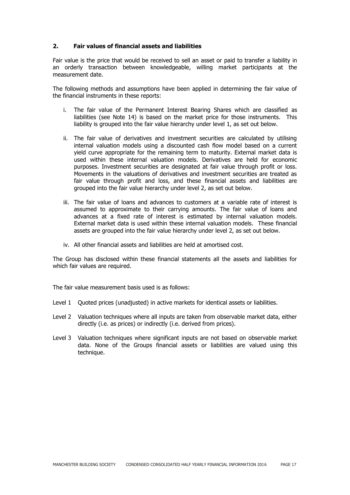## **2. Fair values of financial assets and liabilities**

Fair value is the price that would be received to sell an asset or paid to transfer a liability in an orderly transaction between knowledgeable, willing market participants at the measurement date.

The following methods and assumptions have been applied in determining the fair value of the financial instruments in these reports:

- i. The fair value of the Permanent Interest Bearing Shares which are classified as liabilities (see Note 14) is based on the market price for those instruments. This liability is grouped into the fair value hierarchy under level 1, as set out below.
- ii. The fair value of derivatives and investment securities are calculated by utilising internal valuation models using a discounted cash flow model based on a current yield curve appropriate for the remaining term to maturity. External market data is used within these internal valuation models. Derivatives are held for economic purposes. Investment securities are designated at fair value through profit or loss. Movements in the valuations of derivatives and investment securities are treated as fair value through profit and loss, and these financial assets and liabilities are grouped into the fair value hierarchy under level 2, as set out below.
- iii. The fair value of loans and advances to customers at a variable rate of interest is assumed to approximate to their carrying amounts. The fair value of loans and advances at a fixed rate of interest is estimated by internal valuation models. External market data is used within these internal valuation models. These financial assets are grouped into the fair value hierarchy under level 2, as set out below.
- iv. All other financial assets and liabilities are held at amortised cost.

The Group has disclosed within these financial statements all the assets and liabilities for which fair values are required.

The fair value measurement basis used is as follows:

- Level 1 Quoted prices (unadjusted) in active markets for identical assets or liabilities.
- Level 2 Valuation techniques where all inputs are taken from observable market data, either directly (i.e. as prices) or indirectly (i.e. derived from prices).
- Level 3 Valuation techniques where significant inputs are not based on observable market data. None of the Groups financial assets or liabilities are valued using this technique.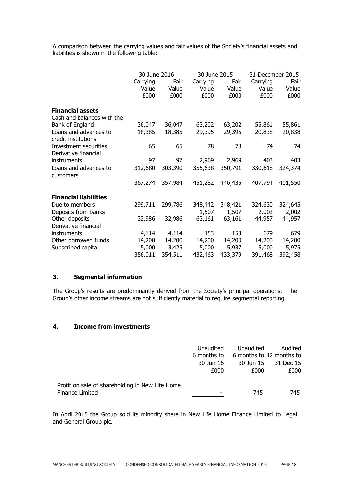A comparison between the carrying values and fair values of the Society's financial assets and liabilities is shown in the following table:

|                              | 30 June 2016 |         |          | 30 June 2015 |          | 31 December 2015 |  |
|------------------------------|--------------|---------|----------|--------------|----------|------------------|--|
|                              | Carrying     | Fair    | Carrying | Fair         | Carrying | Fair             |  |
|                              | Value        | Value   | Value    | Value        | Value    | Value            |  |
|                              | £000         | £000    | £000     | £000         | £000     | £000             |  |
| <b>Financial assets</b>      |              |         |          |              |          |                  |  |
| Cash and balances with the   |              |         |          |              |          |                  |  |
| Bank of England              | 36,047       | 36,047  | 63,202   | 63,202       | 55,861   | 55,861           |  |
| Loans and advances to        | 18,385       | 18,385  | 29,395   | 29,395       | 20,838   | 20,838           |  |
| credit institutions          |              |         |          |              |          |                  |  |
| Investment securities        | 65           | 65      | 78       | 78           | 74       | 74               |  |
| Derivative financial         |              |         |          |              |          |                  |  |
| instruments                  | 97           | 97      | 2,969    | 2,969        | 403      | 403              |  |
| Loans and advances to        | 312,680      | 303,390 | 355,638  | 350,791      | 330,618  | 324,374          |  |
| customers                    |              |         |          |              |          |                  |  |
|                              | 367,274      | 357,984 | 451,282  | 446,435      | 407,794  | 401,550          |  |
| <b>Financial liabilities</b> |              |         |          |              |          |                  |  |
|                              |              |         |          |              |          |                  |  |
| Due to members               | 299,711      | 299,786 | 348,442  | 348,421      | 324,630  | 324,645          |  |
| Deposits from banks          |              |         | 1,507    | 1,507        | 2,002    | 2,002            |  |
| Other deposits               | 32,986       | 32,986  | 63,161   | 63,161       | 44,957   | 44,957           |  |
| Derivative financial         |              |         |          |              |          |                  |  |
| instruments                  | 4,114        | 4,114   | 153      | 153          | 679      | 679              |  |
| Other borrowed funds         | 14,200       | 14,200  | 14,200   | 14,200       | 14,200   | 14,200           |  |
| Subscribed capital           | 5,000        | 3,425   | 5,000    | 5,937        | 5,000    | 5,975            |  |
|                              | 356,011      | 354,511 | 432,463  | 433,379      | 391,468  | 392,458          |  |

# **3. Segmental information**

The Group's results are predominantly derived from the Society's principal operations. The Group's other income streams are not sufficiently material to require segmental reporting

# **4. Income from investments**

|                                                 | Unaudited   | Unaudited | Audited                  |
|-------------------------------------------------|-------------|-----------|--------------------------|
|                                                 | 6 months to |           | 6 months to 12 months to |
|                                                 | 30 Jun 16   |           | 30 Jun 15 31 Dec 15      |
|                                                 | £000        | £000      | £000                     |
| Profit on sale of shareholding in New Life Home |             |           |                          |
| Finance Limited                                 |             | 745       | 745                      |

In April 2015 the Group sold its minority share in New Life Home Finance Limited to Legal and General Group plc.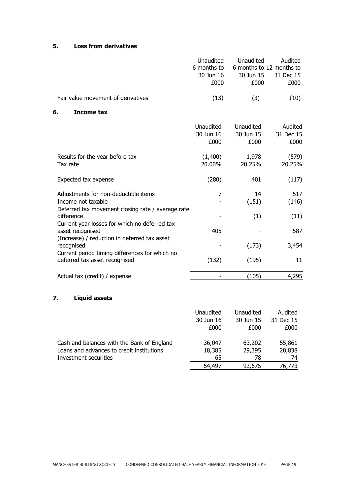# **5. Loss from derivatives**

|                                                                                                                 | Unaudited<br>6 months to<br>30 Jun 16<br>£000 | Unaudited<br>6 months to 12 months to<br>30 Jun 15<br>£000 | Audited<br>31 Dec 15<br>£000 |
|-----------------------------------------------------------------------------------------------------------------|-----------------------------------------------|------------------------------------------------------------|------------------------------|
| Fair value movement of derivatives                                                                              | (13)                                          | (3)                                                        | (10)                         |
| 6.<br><b>Income tax</b>                                                                                         |                                               |                                                            |                              |
|                                                                                                                 | Unaudited<br>30 Jun 16<br>£000                | <b>Unaudited</b><br>30 Jun 15<br>£000                      | Audited<br>31 Dec 15<br>£000 |
| Results for the year before tax<br>Tax rate                                                                     | (1,400)<br>20.00%                             | 1,978<br>20.25%                                            | (579)<br>20.25%              |
| Expected tax expense                                                                                            | (280)                                         | 401                                                        | (117)                        |
| Adjustments for non-deductible items<br>Income not taxable<br>Deferred tax movement closing rate / average rate | 7                                             | 14<br>(151)                                                | 517<br>(146)                 |
| difference<br>Current year losses for which no deferred tax                                                     |                                               | (1)                                                        | (11)                         |
| asset recognised                                                                                                | 405                                           |                                                            | 587                          |
| (Increase) / reduction in deferred tax asset<br>recognised                                                      |                                               | (173)                                                      | 3,454                        |
| Current period timing differences for which no<br>deferred tax asset recognised                                 | (132)                                         | (195)                                                      | 11                           |
| Actual tax (credit) / expense                                                                                   |                                               | (105)                                                      | 4,295                        |
| <b>Liquid assets</b><br>7.                                                                                      |                                               |                                                            |                              |

|                                            | Unaudited | Unaudited | Audited   |
|--------------------------------------------|-----------|-----------|-----------|
|                                            | 30 Jun 16 | 30 Jun 15 | 31 Dec 15 |
|                                            | £000      | £000      | £000      |
| Cash and balances with the Bank of England | 36,047    | 63,202    | 55,861    |
| Loans and advances to credit institutions  | 18,385    | 29,395    | 20,838    |
| Investment securities                      | 65        | 78        | 74        |
|                                            | 54,497    | 92,675    | 76,773    |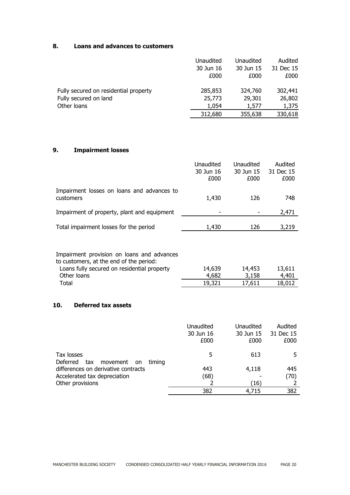# **8. Loans and advances to customers**

|                                       | Unaudited | Unaudited | Audited   |
|---------------------------------------|-----------|-----------|-----------|
|                                       | 30 Jun 16 | 30 Jun 15 | 31 Dec 15 |
|                                       | £000      | £000      | £000      |
| Fully secured on residential property | 285,853   | 324,760   | 302,441   |
| Fully secured on land                 | 25,773    | 29,301    | 26,802    |
| Other loans                           | 1,054     | 1,577     | 1,375     |
|                                       | 312,680   | 355,638   | 330,618   |

# **9. Impairment losses**

|                                                         | Unaudited<br>30 Jun 16<br>£000 | Unaudited<br>30 Jun 15<br>£000 | Audited<br>31 Dec 15<br>£000 |
|---------------------------------------------------------|--------------------------------|--------------------------------|------------------------------|
| Impairment losses on loans and advances to<br>customers | 1,430                          | 126                            | 748                          |
| Impairment of property, plant and equipment             |                                |                                | 2,471                        |
| Total impairment losses for the period                  | 1,430                          | 126                            | 3,219                        |

| Impairment provision on loans and advances |  |
|--------------------------------------------|--|
| to customers, at the end of the period:    |  |

| Loans fully secured on residential property | 14,639 | 14,453 | 13,611 |
|---------------------------------------------|--------|--------|--------|
| Other loans                                 | 4.682  | 3,158  | 4,401  |
| Total                                       | 19,321 | 17,611 | 18,012 |

# **10. Deferred tax assets**

|                                                               | Unaudited<br>30 Jun 16<br>£000 | Unaudited<br>30 Jun 15<br>£000 | Audited<br>31 Dec 15<br>£000 |
|---------------------------------------------------------------|--------------------------------|--------------------------------|------------------------------|
| Tax losses<br>Deferred<br>tax movement<br>timing<br><b>on</b> | 5                              | 613                            |                              |
| differences on derivative contracts                           | 443                            | 4,118                          | 445                          |
| Accelerated tax depreciation                                  | (68)                           |                                | (70)                         |
| Other provisions                                              |                                | (16)                           |                              |
|                                                               | 382                            | 4,715                          | 382                          |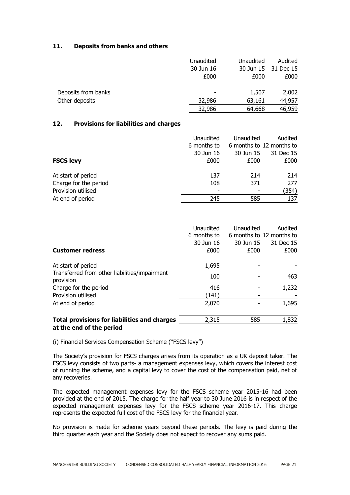## **11. Deposits from banks and others**

|                     | Unaudited | Unaudited | Audited             |
|---------------------|-----------|-----------|---------------------|
|                     | 30 Jun 16 |           | 30 Jun 15 31 Dec 15 |
|                     | £000      | £000      | £000                |
| Deposits from banks |           | 1,507     | 2,002               |
| Other deposits      | 32,986    | 63,161    | 44,957              |
|                     | 32,986    | 64,668    | 46,959              |

### **12. Provisions for liabilities and charges**

|                       | Unaudited                | Unaudited | Audited                  |
|-----------------------|--------------------------|-----------|--------------------------|
|                       | 6 months to              |           | 6 months to 12 months to |
|                       | 30 Jun 16                | 30 Jun 15 | 31 Dec 15                |
| <b>FSCS levy</b>      | £000                     | £000      | £000                     |
| At start of period    | 137                      | 214       | 214                      |
| Charge for the period | 108                      | 371       | 277                      |
| Provision utilised    | $\overline{\phantom{a}}$ |           | (354)                    |
| At end of period      | 245                      | 585       | 137                      |

| <b>Customer redress</b>                                                         | Unaudited<br>6 months to<br>30 Jun 16<br>£000 | Unaudited<br>30 Jun 15<br>£000 | Audited<br>6 months to 12 months to<br>31 Dec 15<br>£000 |
|---------------------------------------------------------------------------------|-----------------------------------------------|--------------------------------|----------------------------------------------------------|
| At start of period                                                              | 1,695                                         |                                |                                                          |
| Transferred from other liabilities/impairment<br>provision                      | 100                                           |                                | 463                                                      |
| Charge for the period                                                           | 416                                           |                                | 1,232                                                    |
| Provision utilised                                                              | (141)                                         |                                |                                                          |
| At end of period                                                                | 2,070                                         |                                | 1,695                                                    |
| <b>Total provisions for liabilities and charges</b><br>at the end of the period | 2,315                                         | 585                            | 1,832                                                    |

(i) Financial Services Compensation Scheme ("FSCS levy")

The Society's provision for FSCS charges arises from its operation as a UK deposit taker. The FSCS levy consists of two parts- a management expenses levy, which covers the interest cost of running the scheme, and a capital levy to cover the cost of the compensation paid, net of any recoveries.

The expected management expenses levy for the FSCS scheme year 2015-16 had been provided at the end of 2015. The charge for the half year to 30 June 2016 is in respect of the expected management expenses levy for the FSCS scheme year 2016-17. This charge represents the expected full cost of the FSCS levy for the financial year.

No provision is made for scheme years beyond these periods. The levy is paid during the third quarter each year and the Society does not expect to recover any sums paid.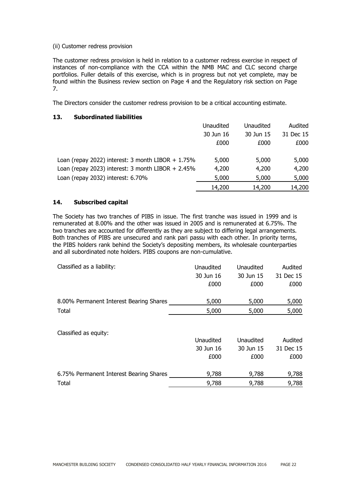#### (ii) Customer redress provision

The customer redress provision is held in relation to a customer redress exercise in respect of instances of non-compliance with the CCA within the NMB MAC and CLC second charge portfolios. Fuller details of this exercise, which is in progress but not yet complete, may be found within the Business review section on Page 4 and the Regulatory risk section on Page 7.

The Directors consider the customer redress provision to be a critical accounting estimate.

# **13. Subordinated liabilities**

|                                                      | Unaudited | Unaudited | Audited   |
|------------------------------------------------------|-----------|-----------|-----------|
|                                                      | 30 Jun 16 | 30 Jun 15 | 31 Dec 15 |
|                                                      | £000      | £000      | £000      |
| Loan (repay 2022) interest: 3 month LIBOR $+ 1.75\%$ | 5,000     | 5,000     | 5,000     |
| Loan (repay 2023) interest: $3$ month LIBOR + 2.45%  | 4,200     | 4,200     | 4,200     |
| Loan (repay 2032) interest: 6.70%                    | 5,000     | 5,000     | 5,000     |
|                                                      | 14,200    | 14,200    | 14,200    |

## **14. Subscribed capital**

The Society has two tranches of PIBS in issue. The first tranche was issued in 1999 and is remunerated at 8.00% and the other was issued in 2005 and is remunerated at 6.75%. The two tranches are accounted for differently as they are subject to differing legal arrangements. Both tranches of PIBS are unsecured and rank pari passu with each other. In priority terms, the PIBS holders rank behind the Society's depositing members, its wholesale counterparties and all subordinated note holders. PIBS coupons are non-cumulative.

| Classified as a liability:              | Unaudited | Unaudited | Audited   |
|-----------------------------------------|-----------|-----------|-----------|
|                                         | 30 Jun 16 | 30 Jun 15 | 31 Dec 15 |
|                                         | £000      | £000      | £000      |
| 8.00% Permanent Interest Bearing Shares | 5,000     | 5,000     | 5,000     |
| Total                                   | 5,000     | 5,000     | 5,000     |
|                                         |           |           |           |

| Classified as equity: |  |  |
|-----------------------|--|--|
|                       |  |  |

|                                         | Unaudited | Unaudited | Audited   |
|-----------------------------------------|-----------|-----------|-----------|
|                                         | 30 Jun 16 | 30 Jun 15 | 31 Dec 15 |
|                                         | £000      | £000      | £000      |
| 6.75% Permanent Interest Bearing Shares | 9,788     | 9,788     | 9,788     |
| Total                                   | 9,788     | 9,788     | 9,788     |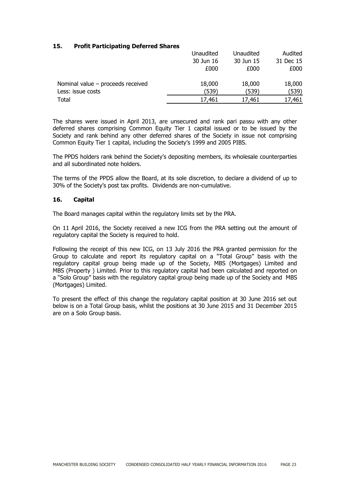# **15. Profit Participating Deferred Shares**

|                                     | Unaudited | Unaudited | Audited   |
|-------------------------------------|-----------|-----------|-----------|
|                                     | 30 Jun 16 | 30 Jun 15 | 31 Dec 15 |
|                                     | £000      | £000      | £000      |
| Nominal value $-$ proceeds received | 18,000    | 18,000    | 18,000    |
| Less: issue costs                   | (539)     | (539)     | (539)     |
| Total                               | 17,461    | 17,461    | 17,461    |

The shares were issued in April 2013, are unsecured and rank pari passu with any other deferred shares comprising Common Equity Tier 1 capital issued or to be issued by the Society and rank behind any other deferred shares of the Society in issue not comprising Common Equity Tier 1 capital, including the Society's 1999 and 2005 PIBS.

The PPDS holders rank behind the Society's depositing members, its wholesale counterparties and all subordinated note holders.

The terms of the PPDS allow the Board, at its sole discretion, to declare a dividend of up to 30% of the Society's post tax profits. Dividends are non-cumulative.

#### **16. Capital**

The Board manages capital within the regulatory limits set by the PRA.

On 11 April 2016, the Society received a new ICG from the PRA setting out the amount of regulatory capital the Society is required to hold.

Following the receipt of this new ICG, on 13 July 2016 the PRA granted permission for the Group to calculate and report its regulatory capital on a "Total Group" basis with the regulatory capital group being made up of the Society, MBS (Mortgages) Limited and MBS (Property ) Limited. Prior to this regulatory capital had been calculated and reported on a "Solo Group" basis with the regulatory capital group being made up of the Society and MBS (Mortgages) Limited.

To present the effect of this change the regulatory capital position at 30 June 2016 set out below is on a Total Group basis, whilst the positions at 30 June 2015 and 31 December 2015 are on a Solo Group basis.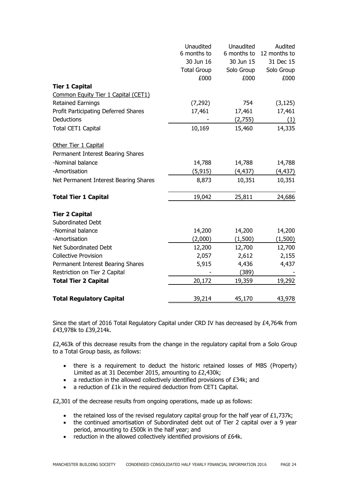|                                       | Unaudited<br>6 months to | Unaudited<br>6 months to | Audited<br>12 months to |
|---------------------------------------|--------------------------|--------------------------|-------------------------|
|                                       | 30 Jun 16                | 30 Jun 15                | 31 Dec 15               |
|                                       | <b>Total Group</b>       | Solo Group               | Solo Group              |
|                                       | £000                     | £000                     | £000                    |
| <b>Tier 1 Capital</b>                 |                          |                          |                         |
| Common Equity Tier 1 Capital (CET1)   |                          |                          |                         |
| <b>Retained Earnings</b>              | (7, 292)                 | 754                      | (3, 125)                |
| Profit Participating Deferred Shares  | 17,461                   | 17,461                   | 17,461                  |
| Deductions                            |                          | (2,755)                  | (1)                     |
| Total CET1 Capital                    | 10,169                   | 15,460                   | 14,335                  |
| Other Tier 1 Capital                  |                          |                          |                         |
| Permanent Interest Bearing Shares     |                          |                          |                         |
| -Nominal balance                      | 14,788                   | 14,788                   | 14,788                  |
| -Amortisation                         | (5, 915)                 | (4, 437)                 | (4, 437)                |
| Net Permanent Interest Bearing Shares | 8,873                    | 10,351                   | 10,351                  |
| <b>Total Tier 1 Capital</b>           | 19,042                   | 25,811                   | 24,686                  |
| <b>Tier 2 Capital</b>                 |                          |                          |                         |
| <b>Subordinated Debt</b>              |                          |                          |                         |
| -Nominal balance                      | 14,200                   | 14,200                   | 14,200                  |
| -Amortisation                         | (2,000)                  | (1,500)                  | (1,500)                 |
| Net Subordinated Debt                 | 12,200                   | 12,700                   | 12,700                  |
| <b>Collective Provision</b>           | 2,057                    | 2,612                    | 2,155                   |
| Permanent Interest Bearing Shares     | 5,915                    | 4,436                    | 4,437                   |
| Restriction on Tier 2 Capital         |                          | (389)                    |                         |
| <b>Total Tier 2 Capital</b>           | 20,172                   | 19,359                   | 19,292                  |
| <b>Total Regulatory Capital</b>       | 39,214                   | 45,170                   | 43,978                  |

Since the start of 2016 Total Regulatory Capital under CRD IV has decreased by £4,764k from £43,978k to £39,214k.

£2,463k of this decrease results from the change in the regulatory capital from a Solo Group to a Total Group basis, as follows:

- there is a requirement to deduct the historic retained losses of MBS (Property) Limited as at 31 December 2015, amounting to £2,430k;
- a reduction in the allowed collectively identified provisions of £34k; and
- a reduction of £1k in the required deduction from CET1 Capital.

£2,301 of the decrease results from ongoing operations, made up as follows:

- the retained loss of the revised regulatory capital group for the half year of £1,737k;
- the continued amortisation of Subordinated debt out of Tier 2 capital over a 9 year period, amounting to £500k in the half year; and
- reduction in the allowed collectively identified provisions of £64k.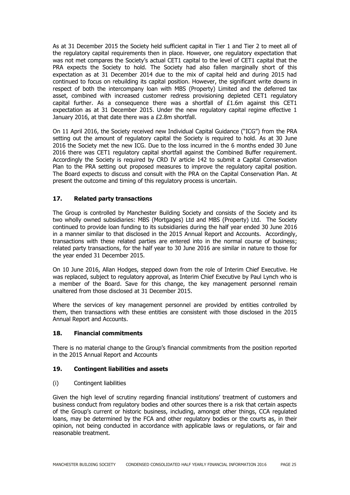As at 31 December 2015 the Society held sufficient capital in Tier 1 and Tier 2 to meet all of the regulatory capital requirements then in place. However, one regulatory expectation that was not met compares the Society's actual CET1 capital to the level of CET1 capital that the PRA expects the Society to hold. The Society had also fallen marginally short of this expectation as at 31 December 2014 due to the mix of capital held and during 2015 had continued to focus on rebuilding its capital position. However, the significant write downs in respect of both the intercompany loan with MBS (Property) Limited and the deferred tax asset, combined with increased customer redress provisioning depleted CET1 regulatory capital further. As a consequence there was a shortfall of £1.6m against this CET1 expectation as at 31 December 2015. Under the new regulatory capital regime effective 1 January 2016, at that date there was a £2.8m shortfall.

On 11 April 2016, the Society received new Individual Capital Guidance ("ICG") from the PRA setting out the amount of regulatory capital the Society is required to hold. As at 30 June 2016 the Society met the new ICG. Due to the loss incurred in the 6 months ended 30 June 2016 there was CET1 regulatory capital shortfall against the Combined Buffer requirement. Accordingly the Society is required by CRD IV article 142 to submit a Capital Conservation Plan to the PRA setting out proposed measures to improve the regulatory capital position. The Board expects to discuss and consult with the PRA on the Capital Conservation Plan. At present the outcome and timing of this regulatory process is uncertain.

# **17. Related party transactions**

The Group is controlled by Manchester Building Society and consists of the Society and its two wholly owned subsidiaries: MBS (Mortgages) Ltd and MBS (Property) Ltd. The Society continued to provide loan funding to its subsidiaries during the half year ended 30 June 2016 in a manner similar to that disclosed in the 2015 Annual Report and Accounts. Accordingly, transactions with these related parties are entered into in the normal course of business; related party transactions, for the half year to 30 June 2016 are similar in nature to those for the year ended 31 December 2015.

On 10 June 2016, Allan Hodges, stepped down from the role of Interim Chief Executive. He was replaced, subject to regulatory approval, as Interim Chief Executive by Paul Lynch who is a member of the Board. Save for this change, the key management personnel remain unaltered from those disclosed at 31 December 2015.

Where the services of key management personnel are provided by entities controlled by them, then transactions with these entities are consistent with those disclosed in the 2015 Annual Report and Accounts.

# **18. Financial commitments**

There is no material change to the Group's financial commitments from the position reported in the 2015 Annual Report and Accounts

# **19. Contingent liabilities and assets**

(i) Contingent liabilities

Given the high level of scrutiny regarding financial institutions' treatment of customers and business conduct from regulatory bodies and other sources there is a risk that certain aspects of the Group's current or historic business, including, amongst other things, CCA regulated loans, may be determined by the FCA and other regulatory bodies or the courts as, in their opinion, not being conducted in accordance with applicable laws or regulations, or fair and reasonable treatment.